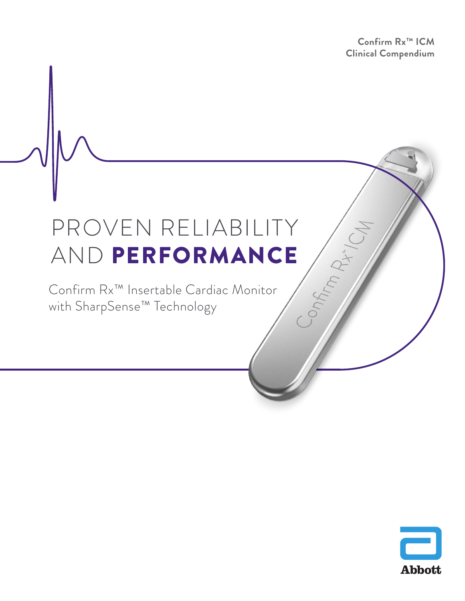**Confirm Rx™ ICM Clinical Compendium**

Onfirm Pix!

# PROVEN RELIABILITY AND PERFORMANCE

Confirm Rx™ Insertable Cardiac Monitor with SharpSense™ Technology

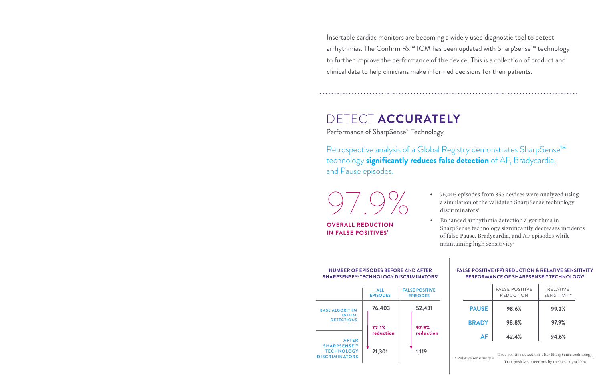Insertable cardiac monitors are becoming a widely used diagnostic tool to detect arrhythmias. The Confirm Rx<sup>™</sup> ICM has been updated with SharpSense<sup>™</sup> technology to further improve the performance of the device. This is a collection of product and clinical data to help clinicians make informed decisions for their patients.

> • 76,403 episodes from 356 devices were analyzed using a simulation of the validated SharpSense technology  $discriminators<sup>1</sup>$

• Enhanced arrhythmia detection algorithms in SharpSense technology significantly decreases incidents of false Pause, Bradycardia, and AF episodes while maintaining high sensitivity<sup>1</sup>

Retrospective analysis of a Global Registry demonstrates SharpSense™ technology **significantly reduces false detection** of AF, Bradycardia, and Pause episodes.

#### **NUMBER OF EPISODES BEFORE AND AFTER SHARPSENSETM TECHNOLOGY DISCRIMINATORS1**

| <b>FALSE POSITIVE (FP) REDUCTION &amp; RELATIVE SENSITIVITY</b><br>PERFORMANCE OF SHARPSENSE™ TECHNOLOGY <sup>1</sup>              |  |                                           |                                       |  |
|------------------------------------------------------------------------------------------------------------------------------------|--|-------------------------------------------|---------------------------------------|--|
|                                                                                                                                    |  | <b>FALSE POSITIVE</b><br><b>REDUCTION</b> | <b>RELATIVE</b><br><b>SENSITIVITY</b> |  |
| <b>PAUSE</b>                                                                                                                       |  | 98.6%                                     | 99.2%                                 |  |
| <b>BRADY</b>                                                                                                                       |  | 98.8%                                     | 97.9%                                 |  |
| AF                                                                                                                                 |  | 42.4%                                     | 94.6%                                 |  |
| True positive detections after SharpSense technology<br>* Relative sensitivity =<br>True positive detections by the base algorithm |  |                                           |                                       |  |

**OVERALL REDUCTION IN FALSE POSITIVES1**

97.9%

## DETECT **ACCURATELY**

Performance of SharpSense<sup>™</sup> Technology

|                                                                                  | <b>ALL</b><br><b>EPISODES</b> | <b>FALSE POSITIVE</b><br><b>EPISODES</b> |
|----------------------------------------------------------------------------------|-------------------------------|------------------------------------------|
| <b>BASE ALGORITHM</b><br><b>INITIAL</b><br><b>DETECTIONS</b>                     | 76,403                        | 52,431                                   |
|                                                                                  | 72.1%<br>reduction            | 97.9%<br>reduction                       |
| <b>AFTER</b><br><b>SHARPSENSE™</b><br><b>TECHNOLOGY</b><br><b>DISCRIMINATORS</b> | 21,301                        | 1,119                                    |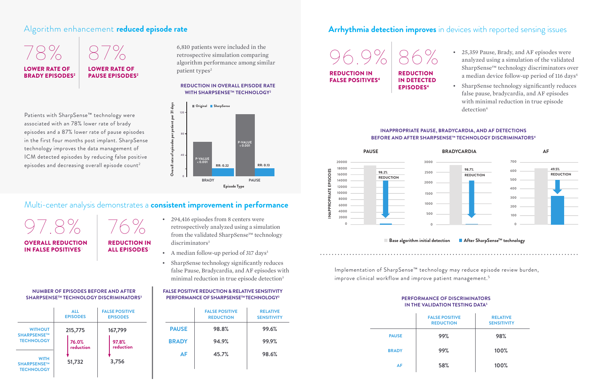### **NUMBER OF EPISODES BEFORE AND AFTER SHARPSENSE™ TECHNOLOGY DISCRIMINATORS3** │ PERFORMANCE OF SHARPSENSE™TECHNOLOGY<sup>3</sup> ● PERFORMANCE OF DISCRIMINATORS PERFORMANCE OF DISCRIMINATORS

|              | <b>FALSE POSITIVE</b><br><b>REDUCTION</b> | <b>RELATIVE</b><br><b>SENSITIVITY</b> |
|--------------|-------------------------------------------|---------------------------------------|
| <b>PAUSE</b> | 98.8%                                     | 99.6%                                 |
| <b>BRADY</b> | 94.9%                                     | 99.9%                                 |
| AF           | 45.7%                                     | 98.6%                                 |
|              |                                           |                                       |

- 25,359 Pause, Brady, and AF episodes were analyzed using a simulation of the validated SharpSense™ technology discriminators over a median device follow-up period of 116 days<sup>4</sup>
- SharpSense technology significantly reduces false pause, bradycardia, and AF episodes with minimal reduction in true episode detection<sup>4</sup>

#### ■ Base algorithm initial detection ■ After SharpSense<sup>™</sup> technology

|                                                 | <b>ALL</b><br><b>EPISODES</b> | <b>FALSE POSITIVE</b><br><b>EPISODES</b> |
|-------------------------------------------------|-------------------------------|------------------------------------------|
| <b>WITHOUT</b><br>SHARPSENSE™                   | 215,775                       | 167,799                                  |
| <b>TECHNOLOGY</b>                               | 76.0%<br>reduction            | 97.8%<br>reduction                       |
| <b>WITH</b><br>SHARPSENSE™<br><b>TECHNOLOGY</b> | 51,732                        | 3,756                                    |

Implementation of SharpSense™ technology may reduce episode review burden, improve clinical workflow and improve patient management.<sup>5</sup>

## **IN THE VALIDATION TESTING DATA<sup>5</sup>**

#### **FALSE POSITIVE REDUCTION & RELATIVE SENSITIVITY PERFORMANCE OF SHARPSENSETM TECHNOLOGY3**

6,810 patients were included in the retrospective simulation comparing algorithm performance among similar patient types<sup>2</sup>

Patients with SharpSense™ technology were associated with an 78% lower rate of brady episodes and a 87% lower rate of pause episodes in the first four months post implant. SharpSense technology improves the data management of ICM detected episodes by reducing false positive episodes and decreasing overall episode count<sup>2</sup>

#### **REDUCTION IN OVERALL EPISODE RATE WITH SHARPSENSE™ TECHNOLOGY<sup>2</sup>**

### **INAPPROPRIATE PAUSE, BRADYCARDIA, AND AF DETECTIONS BEFORE AND AFTER SHARPSENSE™ TECHNOLOGY DISCRIMINATORS4**

LOWER RATE OF PAUSE EPISODES<sup>2</sup>

**REDUCTION** IN DETECTED EPISODES4

#### OVERALL REDUCTION **IN FALSE POSITIVES**

### REDUCTION IN **ALL EPISODES**

- 294,416 episodes from 8 centers were retrospectively analyzed using a simulation from the validated SharpSense™ technology discriminators<sup>3</sup>
- A median follow-up period of 317 days<sup>3</sup>
- SharpSense technology significantly reduces false Pause, Bradycardia, and AF episodes with minimal reduction in true episode detection<sup>3</sup>



|              | <b>FALSE POSITIVE</b><br><b>REDUCTION</b> | <b>RELATIVE</b><br><b>SENSITIVITY</b> |
|--------------|-------------------------------------------|---------------------------------------|
| <b>PAUSE</b> | 99%                                       | 98%                                   |
| <b>BRADY</b> | 99%                                       | 100%                                  |
| AF           | 58%                                       | 100%                                  |

## 78% 87% LOWER RATE OF

**BRADY EPISODES** 



96.9% 86%

REDUCTION IN FALSE POSITIVES4



### Algorithm enhancement **reduced episode rate Arrhythmia detection improves** in devices with reported sensing issues

### Multi-center analysis demonstrates a **consistent improvement in performance**

 $8\%$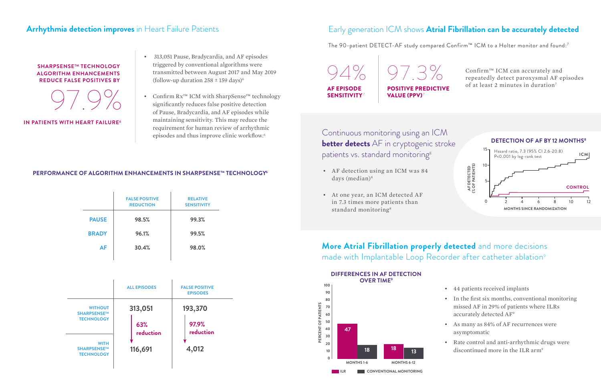The 90-patient DETECT-AF study compared Confirm™ ICM to a Holter monitor and found:7

Continuous monitoring using an ICM **better detects** AF in cryptogenic stroke patients vs. standard monitoring<sup>8</sup>

### **More Atrial Fibrillation properly detected** and more decisions made with Implantable Loop Recorder after catheter ablation<sup>9</sup>

- AF detection using an ICM was 84 days (median)<sup>8</sup>
- At one year, an ICM detected AF in 7.3 times more patients than standard monitoring<sup>8</sup>

- 44 patients received implants
- In the first six months, conventional monitoring missed AF in 29% of patients where ILRs accurately detected AF9
- As many as 84% of AF recurrences were asymptomatic
- Rate control and anti-arrhythmic drugs were discontinued more in the ILR arm<sup>9</sup>



94% 97.3% AF EPISODE **SENSITIVITY** POSITIVE PREDICTIVE VALUE (PPV)<sup>7</sup>



|              | <b>FALSE POSITIVE</b><br><b>REDUCTION</b> | <b>RELATIVE</b><br><b>SENSITIVITY</b> |
|--------------|-------------------------------------------|---------------------------------------|
| <b>PAUSE</b> | 98.5%                                     | 99.3%                                 |
| <b>BRADY</b> | 96.1%                                     | 99.5%                                 |
| <b>AF</b>    | 30.4%                                     | 98.0%                                 |
|              |                                           |                                       |

### **PERFORMANCE OF ALGORITHM ENHANCEMENTS IN SHARPSENSE™ TECHNOLOGY6**

#### **SHARPSENSETM TECHNOLOGY ALGORITHM ENHANCEMENTS REDUCE FALSE POSITIVES BY**



**IN PATIENTS WITH HEART FAILURE<sup>6</sup>** 



|                                                 | <b>ALL EPISODES</b> | <b>FALSE POSITIVE</b><br><b>EPISODES</b> |
|-------------------------------------------------|---------------------|------------------------------------------|
| <b>WITHOUT</b><br>SHARPSENSE™                   | 313,051             | 193,370                                  |
| <b>TECHNOLOGY</b>                               | 63%<br>reduction    | 97.9%<br>reduction                       |
| <b>WITH</b><br>SHARPSENSE™<br><b>TECHNOLOGY</b> | 116,691             | 4,012                                    |

- 313,051 Pause, Bradycardia, and AF episodes triggered by conventional algorithms were transmitted between August 2017 and May 2019 (follow-up duration  $258 \pm 159$  days)<sup>6</sup>
- Confirm Rx™ ICM with SharpSense™ technology significantly reduces false positive detection of Pause, Bradycardia, and AF episodes while maintaining sensitivity. This may reduce the requirement for human review of arrhythmic episodes and thus improve clinic workflow.6

### Arrhythmia detection improves in Heart Failure Patients **Early generation ICM** shows Atrial Fibrillation can be accurately detected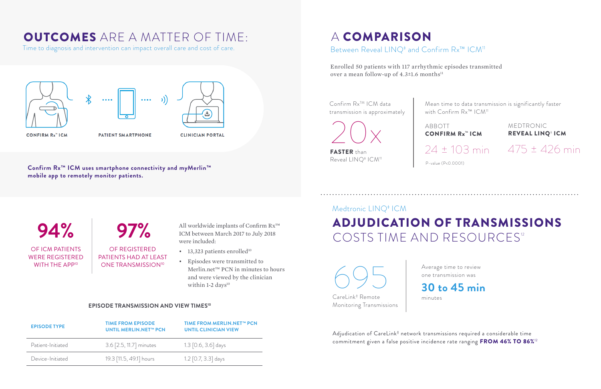# OUTCOMES ARE A MATTER OF TIME:

Time to diagnosis and intervention can impact overall care and cost of care.







<sup>(((</sup>

 $\bullet\bullet\bullet\bullet$ 

**CONFIRM Rx" ICM** 

PATIENT SMARTPHONE

**CLINICIAN PORTAL** 

**Confirm Rx™ ICM uses smartphone connectivity and myMerlin™ mobile app to remotely monitor patients.** 

**94% 97%** OF ICM PATIENTS WERE REGISTERED WITH THE APP<sup>10</sup>

All worldwide implants of Confirm Rx™ ICM between March 2017 to July 2018 were included:

- 13,323 patients enrolled<sup>10</sup>
- Episodes were transmitted to Merlin.net™ PCN in minutes to hours and were viewed by the clinician within  $1-2$  days<sup>10</sup>

OF REGISTERED PATIENTS HAD AT LEAST ONE TRANSMISSION<sup>10</sup>

Confirm  $Rx^{TM}$  ICM data transmission is approximately Mean time to data transmission is significantly faster with Confirm Rx™ ICM<sup>11</sup>

FASTER than Reveal LINQ**‡** ICM11

### **EPISODE TRANSMISSION AND VIEW TIMES10**

## A COMPARISON Between Reveal LINQ<sup>‡</sup> and Confirm Rx<sup>™</sup> ICM<sup>11</sup>

# Medtronic LINQ**‡** ICM ADJUDICATION OF TRANSMISSIONS COSTS TIME AND RESOURCES<sup>12</sup>

Enrolled 50 patients with 117 arrhythmic episodes transmitted over a mean follow-up of  $4.3 \pm 1.6$  months<sup>11</sup>

| <b>EPISODE TYPE</b> | <b>TIME FROM EPISODE</b><br><b>UNTIL MERLIN.NET™ PCN</b> | TIME FROM MERLIN.NET™ PCN<br><b>UNTIL CLINICIAN VIEW</b> |
|---------------------|----------------------------------------------------------|----------------------------------------------------------|
| Patient-Initiated   | 3.6 [2.5, 11.7] minutes                                  | $1.3$ [0.6, 3.6] days                                    |
| Device-Initiated    | 19.3 [11.5, 49.1] hours                                  | 1.2 $[0.7, 3.3]$ days                                    |

Adjudication of CareLink<sup>‡</sup> network transmissions required a considerable time commitment given a false positive incidence rate ranging FROM 46% TO 86%12

CONFIRM Rx™ ICM

Average time to review one transmission was

P-value (P<0.0001)

ABBOTT

minutes

MEDTRONIC REVEAL LINQ**‡** ICM



Monitoring Transmissions

20x

## **30 to 45 min**

24 ± 103 min 475 ± 426 min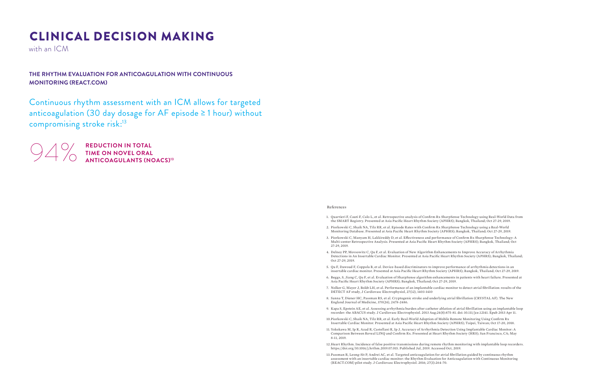# CLINICAL DECISION MAKING

with an ICM

Continuous rhythm assessment with an ICM allows for targeted anticoagulation (30 day dosage for AF episode ≥ 1 hour) without compromising stroke risk:13



**949 REDUCTION IN TOTAL**<br>TIME ON NOVEL ORAL<br>ANTICOAGULANTS (N **TIME ON NOVEL ORAL ANTICOAGULANTS (NOACS)13**

- 1. Quartieri F, Cauti F, Calo L, et al. Retrospective analysis of Confirm Rx SharpSense Technology using Real-World Data from the SMART Registry. Presented at Asia Pacific Heart Rhythm Society (APHRS); Bangkok, Thailand; Oct 27-29, 2019.
- 2. Piorkowski C, Shaik NA, Tilz RR, et al. Episode Rates with Confirm Rx SharpSense Technology using a Real-World Monitoring Database. Presented at Asia Pacific Heart Rhythm Society (APHRS); Bangkok, Thailand; Oct 27-29, 2019.
- 3. Piorkowski C, Manyam H, Lakkireddy D, et al. Effectiveness and performance of Confirm Rx SharpSense Technology: A Multi-center Retrospective Analysis. Presented at Asia Pacific Heart Rhythm Society (APHRS); Bangkok, Thailand; Oct 27-29, 2019.
- 4. Delnoy PP, Movsowitz C, Qu F, et al. Evaluation of New Algorithm Enhancements to Improve Accuracy of Arrhythmia Detections in An Insertable Cardiac Monitor. Presented at Asia Pacific Heart Rhythm Society (APHRS); Bangkok, Thailand; Oct 27-29, 2019.
- 5. Qu F, Dawoud F, Coppola B, et al. Device-based discriminators to improve performance of arrhythmia detections in an insertable cardiac monitor. Presented at Asia Pacific Heart Rhythm Society (APHRS); Bangkok, Thailand; Oct 27-29, 2019.
- 6. Beggs, S, Jiang C, Qu F, et al. Evaluation of SharpSense algorithm enhancements in patients with heart failure. Presented at Asia Pacific Heart Rhythm Society (APHRS); Bangkok, Thailand; Oct 27-29, 2019.
- 7. Nolker G, Mayer J, Boldt LH, et al. Performance of an implantable cardiac monitor to detect atrial fibrillation: results of the DETECT AF study, J Cardiovasc Electrophysiol, 27(12), 1403-1410
- 8. Sanna T, Diener HC, Passman RS, et al. Cryptogenic stroke and underlying atrial fibrillation (CRYSTAL AF). The New England Journal of Medicine, 370(26), 2478-2486.
- 9. Kapa S, Epstein AE, et al. Assessing arrhythmia burden after catheter ablation of atrial fibrillation using an implantable loop recorder: the ABACUS study. J Cardiovasc Electrophysiol. 2013 Aug;24(8):875-81. doi: 10.111/jce.12141. Epub 2013 Apr 11.
- 10.Piorkowski C, Shaik NA, Tilz RR, et al. Early Real-World Adoption of Mobile Remote Monitoring Using Confirm Rx Insertable Cardiac Monitor. Presented at Asia Pacific Heart Rhythm Society (APHRS); Taipei, Taiwan; Oct 17-20, 2018.
- 11. Yokokawa M, Ip R, Azad R, Castellani R, Ip J. Accuracy of Arrhythmia Detection Using Implantable Cardiac Monitor: A Comparison Between Reveal LINQ and Confirm Rx. Presented at Heart Rhythm Society (HRS); San Francisco, CA; May 8-11, 2019.
- 12.Heart Rhythm. Incidence of false positive transmissions during remote rhythm monitoring with implantable loop recorders. https://doi.org/10.1016/j.hrthm.2019.07.015. Published Jul, 2019. Accessed Oct, 2019.
- 13.Passman R, Leong-Sit P, Andrei AC, et al. Targeted anticoagulation for atrial fibrillation guided by continuous rhythm assessment with an insertable cardiac monitor: the Rhythm Evaluation for Anticoagulation with Continuous Monitoring (REACT.COM) pilot study. J Cardiovasc Electrophysiol. 2016; 27(3):264-70.

#### References

### **THE RHYTHM EVALUATION FOR ANTICOAGULATION WITH CONTINUOUS MONITORING (REACT.COM)**